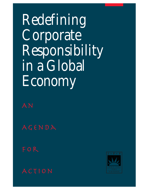Redefining Corporate Responsibility in a Global Economy

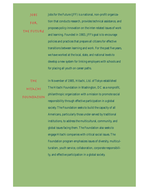Jobs for the Future (JFF) is a national, non-profit organization that conducts research, provides technical assistance, and proposes policy innovation on the inter-related issues of work and learning. Founded in 1983, JFF's goal is to encourage policies and practices that prepare all citizens for effective transitions between learning and work. For the past five years, we have worked at the local, state, and national levels to develop a new system for linking employers with schools and for placing all youth on career paths. Jobs for the Future

In November of 1985, Hitachi, Ltd. of Tokyo established The Hitachi Foundation in Washington, DC as a nonprofit, philanthropic organization with a mission to promote social responsibility through effective participation in a global society. The Foundation seeks to build the capacity of all Americans, particularly those under-served by traditional institutions, to address the multicultural, community, and global issues facing them. The Foundation also seeks to engage Hitachi companies with critical social issues. The Foundation program emphasizes issues of diversity, multiculturalism, youth service, collaboration, corporate responsibility, and effective participation in a global society. The Hitachi Foundation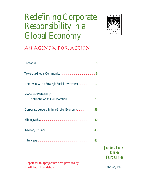# Redefining Corporate Responsibility in a Global Economy



## An Agenda for Action

| Toward a Global Community. 9                                       |                                         |
|--------------------------------------------------------------------|-----------------------------------------|
| The "Win-Win": Strategic Social Investment. 17                     |                                         |
| <b>Models of Partnership:</b><br>Confrontation to Collaboration 27 |                                         |
| Corporate Leadership in a Global Economy. 39                       |                                         |
|                                                                    |                                         |
|                                                                    |                                         |
|                                                                    |                                         |
|                                                                    | <b>JOBS FOR</b><br>THE<br><b>FUTURE</b> |
| Support for this project has been provided by                      |                                         |
| The Hitachi Foundation.                                            | February 1996                           |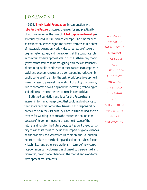### Foreword

In 1992, **The Hitachi Foundation**, in conjunction with **Jobs for the Future**, discussed the need for and practicality of a critical review of the issue of *global corporate citizenship* a frequently used, but ill-defined concept. The time for such an exploration seemed right: the private sector was in a phase of inexorable expansion worldwide; corporate profits were beginning to recover; and it was clear that the corporate role in community development was in flux. Furthermore, many governments seemed to be struggling with the consequences of declining public confidence in their capacities to cope with social and economic needs and a corresponding reduction in public coffers sufficient for the task. Workforce development issues increasingly were at the forefront of policy discussions, due to corporate downsizing and the increasing technological and skill requirements needed to remain competitive.

Both the Foundation and Jobs for the Future had an interest in formulating a project that could add substance to the debate on what corporate citizenship and responsibility needed to be in the 21st century. Each institution had its own reasons for wanting to address the matter: the Foundation because of its commitment to engagement issues of the future; and Jobs for the Future because it sought the opportunity to widen its focus to include the impact of global changes on the economy and workforce. In addition, the Foundation hoped to influence the thinking and actions of its benefactor, Hitachi, Ltd. and other corporations, in terms of how corporate-community involvement might need to be expanded and redirected, given global changes in the market and workforce development requirements.

WE HAD AN interest in formulating a project that could ADD substance to the debate on what corporate citizenship AND responsibility needed to be in the 21st century.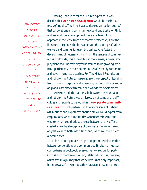The intent was to develop an "ACTION agenda" that corporations and communities could undertake jointly to address WORKFORCE development MORE effectively.

Drawing upon Jobs for the Future's expertise, it was decided that *workforce development* would be the initial focus of inquiry. The intent was to develop an "action agenda" that corporations and communities could undertake jointly to address workforce development more effectively. This approach made sense from a corporate perspective, since the literature is legion with observations on the shortage of skilled workers and commentaries on the best ways to foster the development of necessary skills. From the vantage of communities worldwide, this approach also made sense, since unemployment and underemployment seemed to be growing problems, particularly in those communities affected by corporate and government restructuring. For The Hitachi Foundation and Jobs for the Future, there was also the prospect of learning from this work together and advancing our individual agendas on global corporate citizenship and workforce development.

As we expected, the partnership between the Foundation and Jobs for the Future was a microcosm of some of the difficulties and rewards to be found in the *corporate-community relationship*. Each partner had to analyze some of its basic assumptions and hypotheses about what we could expect from corporations, what communities were responsible for, and who (or what) could bridge the gap between the two. This created a healthy atmosphere of creative tension—in the end of great value to both institutions and, we think, the project outcome itself.

This Action Agenda is designed to promote collaboration between corporations and communities. It is by no means a comprehensive cookbook, presenting new recipes for post-Cold War corporate-community relationships. It is, however, a first step in a journey that we believe is not only important, but necessary. Our work together has taught us a great deal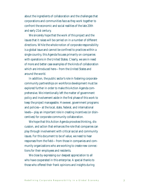about the ingredients of collaboration and the challenges that corporations and communities face as they work together to confront the economic and social realities of the late 20th and early 21st century.

We sincerely hope that the work of this project and the issues that it raises will be carried on in a number of different directions. While the whole notion of corporate responsibility is a global issue and cannot be confined to practices within a single country, this Agenda focuses primarily on companies with operations in the United States. Clearly, we are in need of more and better case examples of the kinds of collaboration which are introduced here—from the United States and around the world.

In addition, the public sector's role in fostering corporatecommunity partnerships on workforce development must be explored further in order to make this Action Agenda comprehensive. We intentionally left the matter of government policy and involvement aside in the first phase of this work to keep the project manageable. However, government programs and policies—at the local, state, federal, and international levels—play an important role in creating incentives (or disincentives) for corporate-community collaboration.

We hope that this Action Agenda provokes thinking, discussion, and action that enhances the role that companies can play through involvement with critical social and community issues. For this document to be of value, we need to hear responses from the field—from those in companies and community organizations who are working to create new connections for their employees and residents.

We close by expressing our deepest appreciation to all who have cooperated in this enterprise. A special thanks to those who offered their frank opinions and insights during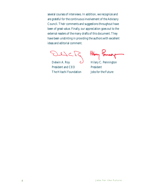several courses of interviews. In addition, we recognize and are grateful for the continuous involvement of the Advisory Council. Their comments and suggestions throughout have been of great value. Finally, our appreciation goes out to the external readers of the many drafts of this document. They have been unstinting in providing the authors with excellent ideas and editorial comment.

 $L\backslash C$ 

Delwin A. Roy  $\bigcup$  Hilary C. Pennington President and CEO President The Hitachi Foundation Jobs for the Future

Hilay Penning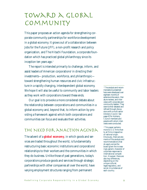# Toward a Global Community

This paper proposes an action agenda for strengthening corporate-community partnerships for workforce development in a global economy. It grows out of a collaboration between Jobs for the Future (JFF), a non-profit research and policy organization, and The Hitachi Foundation, a corporate foundation which has practiced global philanthropy since its inception ten years ago. $<sup>1</sup>$ </sup>

The report is intended primarily to challenge, inform, and assist leaders of American corporations<sup>2</sup> in directing their investments—production, workforce, and philanthropic toward strengthening human resources and civic infrastructure in a rapidly changing, interdependent global economy. We hope it will also be useful to community and labor leaders as they work with corporations toward these ends.

Our goal is to provoke a more considered debate about the relationship between corporations and communities in a global economy and, beyond that, to inform action by providing a framework against which both corporations and communities can focus and evaluate their activities.

### THE NEED FOR ANACTION AGENDA

The advent of a *global economy*, in which goods and services are traded throughout the world, is fundamentally restructuring basic economic institutions and corporations' relationships to their workers and the communities in which they do business. Unlike those of past generations, today's corporations produce goods and services through strategic partnerships with other companies all over the world, have varying employment structures ranging from permanent

<sup>1</sup> The analysis and recommendations presented here were developed over eighteen months of extensive discussion, literature reviews, and interviews with corporate and community leaders. They were further debated and refined through discussions with a multi-sector Advisory Council. See page 43 for Advisory Council members and people with whom interviews were conducted.

<sup>2</sup> This paper pertains more to U.S. firms than to all firms irrespective of national origin. Obviously, there are elements of the analysis and recommendations that do apply across the board given the increasingly generic character of corporate responses to international competition. However, there are also key differences, depending on the unique cultural, legal/regulatory, and social circumstances of each country.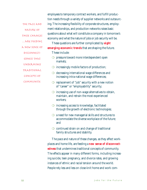|                | employees to temporary contract workers, and fulfill produc-                                                                |  |  |
|----------------|-----------------------------------------------------------------------------------------------------------------------------|--|--|
|                | tion needs through a variety of supplier networks and outsourc-                                                             |  |  |
| THE PACE AND   | ing. The increasing flexibility of corporate structures, employ-                                                            |  |  |
| NATURE OF      | ment relationships, and production networks raises basic                                                                    |  |  |
| THESE CHANGES  | questions about what will constitute a company in tomorrow's                                                                |  |  |
| ARE FEEDING    | economy and what the nature of jobs or job security will be.                                                                |  |  |
|                | These questions are further complicated by <b>eight</b>                                                                     |  |  |
| A NEW SENSE OF | <i>emerging economic trends</i> that are shaping the future.                                                                |  |  |
| DISCONNECT-    | These include:                                                                                                              |  |  |
| EDNESS THAT    | pressure toward more interdependent open<br>markets:                                                                        |  |  |
| UNDERMINES     | $\bigcirc$ increasingly mobile factors of production;                                                                       |  |  |
| TRADITIONAL    | $\bigcirc$ decreasing international wage differences and                                                                    |  |  |
| CONCEPTS OF    | increasing intra-national wage differences;                                                                                 |  |  |
| COMMUNITY.     | $\bigcirc$ replacement of "job" security with a new notion<br>of "career" or "employability" security;                      |  |  |
|                | increasing use of non-wage alternatives to obtain,<br>maintain, and retrain the most experienced<br>workers;                |  |  |
|                | $\bigcirc$ increasing access to knowledge, facilitated<br>through the growth of electronic technologies;                    |  |  |
|                | a need for new managerial skills and structures to<br>accommodate the diverse workplace of the future;<br>and               |  |  |
|                | $\circ$ continued strain on and change of traditional<br>family structures and stability.                                   |  |  |
|                | The pace and nature of these changes, as they affect work-                                                                  |  |  |
|                | places and home life, are feeding a <b>new sense of disconnect</b> -                                                        |  |  |
|                | edness that undermines traditional concepts of community.<br>The effects appear in many different forms, including increas- |  |  |
|                |                                                                                                                             |  |  |
|                | ing suicide, teen pregnancy, and divorce rates, and growing                                                                 |  |  |
|                | instances of ethnic and racial tension around the world.                                                                    |  |  |

People rely less and less on close-knit home and work com-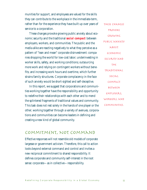munities for support, and employees are valued for the skills they can contribute to the workplace in the immediate-term, rather than for the experience they have built up over years of service to a corporation.

These changes provoke growing public anxiety about economic security and the traditional *social compact* between employers, workers, and communities. The public and the media alike are reacting negatively to what they perceive as a pattern of "lean and mean" corporate disinvestment: companies shopping the world for low-cost labor; underinvesting in worker skills, safety, and working conditions; outsourcing more work and relying on contingent workers without benefits; and increasing work hours and overtime, which further strains family structures. Corporate complacency in the face of such anxiety would be short-sighted and self-deceptive.

In this report, we suggest that corporations and communities working together have the responsibility and opportunity to redefine their relationships with each other and to mend the splintered fragments of traditional values and community. This task does not rest solely in the hands of one player or the other; working together through a variety of avenues, corporations and communities can become leaders in defining and creating a new kind of global community.

These changes provoke growing public anxiety ABOUT economic security and the traditional social compact between employers, workers, and communities.

### Commitment, Not Command

Effective responses will not resemble old models of corporate largesse or government activism. Therefore, this call to action looks beyond external command and control and invites a new reciprocal commitment to shared responsibility. It defines corporate and community self-interest in the root sense: corporate—as in collective—responsibility.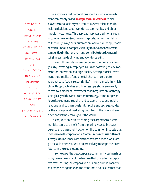"Strategic social investment" allows companies to look beyond immediate cost calculations in making decisions ABOUT workforce, community, and philanthropic investments.

We advocate that corporations adopt a model of investment commonly called *strategic social investment*, which allows them to look beyond immediate cost calculations in making decisions about workforce, community, and philanthropic investments. This approach replaces traditional paths to competitiveness (such as cutting costs, minimizing labor costs through wage cuts, automation, and outsourcing), many of which impair a company's ability to innovate and remain competitive in the long-run and contribute to a downward spiral in standards of living and workforce skills.

Instead, this model urges companies to achieve business goals by investing in employee skills and fostering an environment for innovation and high quality. Strategic social investment thus implies a fundamental change in corporate approaches to "social responsibility"—from a model in which philanthropic activities and business operations are weakly related to a model of investment that integrates philanthropy strategically with overall corporate strategy, combining workforce development, supplier and customer relations, public relations, and business goals into a coherent package, guided by the strategic and marketing priorities of the firm and executed consistently throughout the world.

In conjunction with redefining the corporate role, communities can also benefit from exploring ways to increase, expand, and pursue joint action on the common interests that they share with corporations. Communities can use different strategies to influence corporations toward a model of strategic social investment, working proactively to shape their own futures in the global economy.

In some ways, the best corporate-community partnerships today resemble many of the features that characterize corporate restructuring: an emphasis on building human capacity and empowering those on the frontline; a holistic, rather than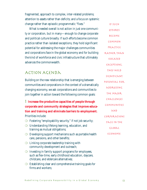fragmented, approach to complex, inter-related problems; attention to assets rather than deficits; and a focus on systemic change rather than episodic programmatic "fixes."

What is needed overall is not action in just one community or corporation, but in many—enough to change corporate and political culture broadly. If such efforts become common practice rather than isolated exceptions, they hold significant potential for addressing the major challenges communities and corporations face in the global economy and for building the kind of workforce and civic infrastructure that ultimately advances the commonwealth.

### Action Agenda

Building on the new relationship that is emerging between communities and corporations in the context of a dramatically changing economy, we ask corporations and communities to join together in action toward the following common goals:

1 **Increase the productive capacities of people through corporate and community strategies that improve education and training and eliminate barriers to employment.** Priorities include:

- ❍ Fostering "employability security," if not job security;
- ❍ Understanding lifelong learning, education, and training as mutual obligations;
- $\bigcirc$  Developing support mechanisms such as portable health care, pensions, and other benefits;
- $\bigcirc$  Linking corporate leadership training with community development and outreach;
- $\bigcirc$  Investing in family support programs for employees, such as flex-time, early childhood education, daycare, childcare, and eldercare alternatives;
- $\bigcirc$  Establishing clear and comprehensive training goals for firms and workers;

If such efforts become common practice rather than isolated exceptions, they hold significant potential for addressing the major challenges communities AND corporations face in the global economy.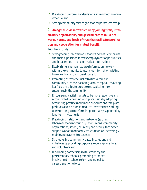- $\bigcirc$  Developing uniform standards for skills and technological expertise; and
- ❍ Setting community service goals for corporate leadership.

2 **Strengthen civic infrastructure by joining firms, intermediary organizations, and governments to build networks, norms, and levels of trust that facilitate coordination and cooperation for mutual benefit**.

Priorities include:

- ❍ Strengthening job-creation networks between companies and their suppliers to increase employment opportunities and broaden access to labor market information;
- ❍ Establishing a human resource information network within the community to exchange information relating to worker training and development;
- $\bigcirc$  Promoting entrepreneurial activities within the community such as developing venture capital/"revolving loan" partnerships to provide seed capital for new enterprises in the community;
- $\bigcirc$  Encouraging capital markets to be more responsive and accountable to changing workplace needs by adopting accounting practices and financial evaluations that place positive value on human resource investments; working to ensure long-term reform is appropriately supported by long-term investment;
- ◯ Developing institutions and networks (such as labor/management councils, labor unions, community organizations, school, churches, and others) that better support workers and family structures in an increasingly mobile and fragmented society;
- ◯ Strengthening community-based institutions and initiatives by providing corporate leadership, mentors, and volunteers; and
- ◯ Developing partnerships with secondary and postsecondary schools; promoting corporate involvement in school reform and school-tocareer transition efforts.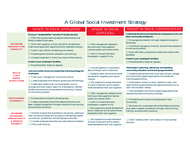# A Global Social Investment Strategy

|                                                                                        | INVEST IN YOUR EMPLOYEES                                                                                                                                                                                                                                                                            | INVEST IN YOUR                                                                                                                                                                 | INVEST IN YOUR COMMUNITIES                                                                                            |
|----------------------------------------------------------------------------------------|-----------------------------------------------------------------------------------------------------------------------------------------------------------------------------------------------------------------------------------------------------------------------------------------------------|--------------------------------------------------------------------------------------------------------------------------------------------------------------------------------|-----------------------------------------------------------------------------------------------------------------------|
|                                                                                        | Focus on "employability" security if not job security:                                                                                                                                                                                                                                              | SUPPLIERS                                                                                                                                                                      | Contribute the time and expertise of employees to civic and<br>other community endeavors:                             |
| <b>INCREASE</b><br><b>PRODUCTIVE</b><br><b>CAPACITY</b>                                | $\Box$ Offer training and learning opportunities that are not<br>directly related to job tasks;                                                                                                                                                                                                     |                                                                                                                                                                                | $\Box$ Encourage volunteerism through release time (paid or                                                           |
|                                                                                        | $\Box$ Work with suppliers, unions, and other companies to<br>maximize employment opportunities for displaced workers;                                                                                                                                                                              | <b>Offer management assistance</b><br>and training to help suppliers<br>improve quality and worker skills;<br>$\Box$ Open in-house training to<br>employees in supplier firms. | otherwise);<br>$\Box$ Contribute managerial, financial, and technical assistance                                      |
|                                                                                        | $\Box$ Invest in spin-offs for entrepreneurial workers;                                                                                                                                                                                                                                             |                                                                                                                                                                                | to community efforts;                                                                                                 |
|                                                                                        | $\Box$ Provide opportunities for education and training;                                                                                                                                                                                                                                            |                                                                                                                                                                                | $\Box$ Work with other companies to create more uniform skill<br>standards.                                           |
|                                                                                        | $\Box$ Increase investment in front-line, lower-skilled workers.                                                                                                                                                                                                                                    |                                                                                                                                                                                | <b>Invest in your employees' families:</b>                                                                            |
|                                                                                        | <b>Invest in your employees' families:</b>                                                                                                                                                                                                                                                          |                                                                                                                                                                                | Provide benefits, flextime, daycare.                                                                                  |
| <b>BUILD</b><br><b>CIVIC</b><br><b>INFRA-</b><br><b>STRUCTURE</b>                      | Provide benefits, flextime, daycare.                                                                                                                                                                                                                                                                | $\Box$ Include suppliers in discussions<br>about strategic social investment;<br>□ Establish labor and environmental<br>standards for suppliers and subcon-                    | Participate in planning, delivering, and assessing                                                                    |
|                                                                                        | Use community service as a leadership training strategy for                                                                                                                                                                                                                                         |                                                                                                                                                                                | community education and training opportunities:                                                                       |
|                                                                                        | employees:<br>$\Box$ Train junior managers for community service;                                                                                                                                                                                                                                   |                                                                                                                                                                                | $\Box$ Establish partnerships with local high schools, colleges,<br>and community-based organizations to provide job- |
|                                                                                        | $\Box$ Create employee committees to guide local philanthropy;<br>$\Box$ Create labor buffers that minimize layoffs, such as                                                                                                                                                                        | tractors:                                                                                                                                                                      | training opportunities;                                                                                               |
|                                                                                        |                                                                                                                                                                                                                                                                                                     | $\Box$ Ask suppliers to accept standards<br>of social investment and to extend                                                                                                 | Participate in school-to-work, welfare-to-work, and<br>adult retraining partnerships that ease the transition to or   |
|                                                                                        | arrangements that make it easier for employees to maintain<br>benefits and seniority during downturns by being "loaned"                                                                                                                                                                             | these standards to their own suppliers.                                                                                                                                        | back into the labor market;                                                                                           |
| <b>ENCOURAGE</b><br><b>DIVERSITY</b>                                                   | to community projects.                                                                                                                                                                                                                                                                              | <b>Offer management assistance and</b><br>training to help suppliers improve<br>quality and worker skills;<br>$\Box$ Open in-house training to                                 | $\Box$ Help strengthen community-based organizations that<br>advance the local community's interests.                 |
|                                                                                        | $\Box$ Provide jobs and access to diverse groups;                                                                                                                                                                                                                                                   |                                                                                                                                                                                |                                                                                                                       |
|                                                                                        | $\Box$ Create a corporate culture that features diversity as an<br>asset in global competition through internal hiring, training,<br>and promotion practices.                                                                                                                                       |                                                                                                                                                                                | $\Box$ Provide jobs and access to diverse groups in your<br>community;                                                |
|                                                                                        |                                                                                                                                                                                                                                                                                                     | employees in supplier firms;                                                                                                                                                   | $\Box$ Be known for a corporate culture that features diversity                                                       |
|                                                                                        |                                                                                                                                                                                                                                                                                                     | $\Box$ Ask suppliers to accept standards of<br>social investment and to extend these                                                                                           | as an asset in global competition through internal hiring,<br>training, and promotion practices.                      |
| <b>INCREASE</b><br><b>ECONOMIC</b><br><b>OPPORTUNITY</b><br>& REDUCE<br><b>POVERTY</b> | $\Box$ Maintain employment guarantees or job security, where pos-<br>sible. Use secure employment as a way to motivate high worker<br>commitment, productivity, and willingness to take risks;<br>$\Box$ Consider employee ownership as an alternative to shutdown;<br>$\Box$ Offer profit-sharing. | standards to their own suppliers.                                                                                                                                              |                                                                                                                       |
|                                                                                        |                                                                                                                                                                                                                                                                                                     | $\Box$ Ask suppliers to accept standards<br>of social investment and to extend<br>these standards to their own suppliers.                                                      | $\Box$ Avoid "bidding wars" over location of new business                                                             |
|                                                                                        |                                                                                                                                                                                                                                                                                                     |                                                                                                                                                                                | facilities.                                                                                                           |
|                                                                                        |                                                                                                                                                                                                                                                                                                     |                                                                                                                                                                                |                                                                                                                       |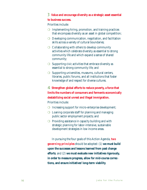#### 3 **Value and encourage diversity as a strategic asset essential**

#### **to business success.**

Priorities include:

- $\bigcirc$  Implementing hiring, promotion, and training practices that encompass diversity as an asset in global competition;
- $\bigcirc$  Developing communication, negotiation, and facilitation skills across a variety of cultural boundaries;
- $\bigcirc$  Collaborating with others to develop community activities which celebrate diversity as essential to strong community life and which expand a sense of shared community;
- $\bigcirc$  Supporting civic activities that embrace diversity as essential to strong community life; and
- ◯ Supporting universities, museums, cultural centers, libraries, public forums, and all institutions that foster knowledge of and respect for diverse cultures.

4 **Strengthen global efforts to reduce poverty, a force that limits the numbers of consumers and ferments economically destabilizing social unrest and illegal immigration.** Priorities include:

- ◯ Increasing support for micro-enterprise development;
- $\bigcirc$  Loaning corporate staff for planning and managing public sector employment projects; and
- $\bigcirc$  Providing assistance in capacity building and with strategic planning for labor-intensive, sustainable development strategies in low income areas.

In pursuing the four goals of this Action Agenda, *two governing principles* should be adopted: (1) **we must build upon the successes and lessons learned from past change efforts**; and (2) **we must evaluate new initiatives rigorously, in order to measure progress, allow for mid-course corrections, and ensure initiatives' long-term viability**.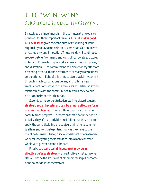# The "Win-Win": Strategic Social Investment

Strategic social investment is in the self-interest of global corporations for three important reasons. First, *it makes good business sense* given the continued restructuring of work required by today's emphasis on customer satisfaction, lower prices, quality, and innovation. These trends will continue to erode old-style, "command and control" corporate structures in favor of those which give workers greater freedom, power, and discretion. Such commitment and discretionary effort are becoming essential to the performance of many transnational corporations. In light of this shift, strategic social investment through which corporations define, and fulfill, a new employment contract with their workers and establish strong relationships with the communities in which they do business is more important than ever.

Second, as the corporate leaders we interviewed suggest, *strategic social investment can be a more effective form of civic involvement* than a diffuse corporate charitable contributions program. Corporations that once undertook a broad variety of civic activities are finding that they need to apply the same discipline and strategic thinking to community affairs and corporate philanthropy as they have to their mainline business. Strategic social investment offers a framework for integrating these activities into a more coherent whole with greater potential impact.

Finally, *strategic social investment may be an effective defense strategy*—since it is likely that someone else will define the standards of global citizenship if corporations do not do it for themselves.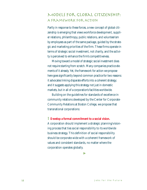### Models for Global Citizenship: A Framework for Action

Partly in response to these forces, a new concept of global citizenship is emerging that views workforce development, supplier relations, philanthropy, public relations, and volunteerism by employees as part of the same package, guided by the strategic and marketing priorities of the firm. These firms operate in terms of strategic social investment, not charity, and the activity is perceived to enhance the firm's competitiveness.

Moving toward a model of strategic social investment does not require starting from scratch. Many companies practice elements of it already. Yet, the framework for action we propose here goes significantly beyond common practice for two reasons: it advocates linking disparate efforts into a coherent strategy; and it suggests applying this strategy not just in domestic markets, but in all of a corporation's facilities worldwide.

Building on the guidelines for standards of excellence in community relations developed by the Center for Corporate-Community Relations at Boston College, we propose that transnational corporations:

1 **Develop a formal commitment to a social vision.** A corporation should implement a strategic planning/visioning process that ties social responsibility to its worldwide business strategy. This definition of social responsibility should be corporate-wide with a coherent framework of values and consistent standards, no matter where the corporation operates globally.

▼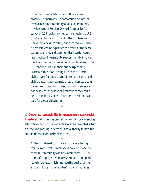Community expectations can influence how broadly—or narrowly—a corporation defines its involvement in community affairs. "Community Involvement in Foreign-Owned Companies," a survey of 108 foreign-owned companies in the U.S. conducted by David Logan for the Conference Board, provides interesting evidence that corporate citizenship can be expanded as a result of the expectations countries and communities have for corporate practice. The majority see community involvement as an important aspect of doing business in the U.S. and include it in their business planning process, rather than leaving it to chance. Their giving levels (at one percent of pre-tax income) and giving patterns approximate those of domestic companies. Yet, Logan concludes, most companies are not nearly as innovative or proactive as they could be—either locally or as a force for a consistent standard for global citizenship.

▲

2 **Designate responsibility for managing strategic social investment.** Within this central framework, local branches, sales offices, and production sites should be delegated substantial decision-making, discretion, and authority in how the corporation's values are implemented.

At the U.S.-based corporate and manufacturing facilities of Hitachi, employees have come together to form Community Action Committees (CACs) teams of employees who devise, support, and participate in projects which improve the quality of life and workforce in the facilities' host communities.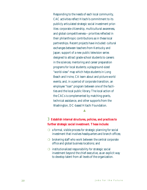Responding to the needs of each local community, CAC activities reflect Hitachi's commitment to its publicly articulated strategic social investment priorities: corporate citizenship, multicultural awareness, and global competitiveness—priorities reflected in their philanthropic contributions as in these local partnerships. Recent projects have included: cultural exchanges between teachers from Kentucky and Japan; support of a new public television series designed to attract grade-school students to careers in the sciences; mentoring and career preparation programs for local students; a playground-sized "world-view" map which helps students in Long Beach and Irvine, CA learn about and picture world events; and, in a period of corporate transition, an employee "loan" program between one of the facilities and the local public library. The local action of the CACs is complemented by matching grants, technical assistance, and other supports from the Washington, DC-based Hitachi Foundation.

#### ▲

#### 3 **Establish internal structures, policies, and practices to further strategic social investment. These include:**

- $\bigcirc$  a formal, visible process for strategic planning for social investment that involves headquarters and branch offices;
- $\bigcirc$  brokering staff who work between the central corporate office and global business locations; and
- $\bigcirc$  institutionalized responsibility for strategic social investment beyond the chief executive, as an explicit way to develop talent from all levels of the organization.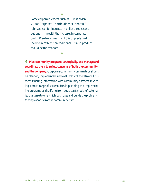Some corporate leaders, such as Curt Weeden, VP for Corporate Contributions at Johnson & Johnson, call for increases in philanthropic contributions in line with the increases in corporate profit. Weeden argues that 1.5% of pre-tax net income in cash and an additional 0.5% in product should be the standard.

**マ** 

▲

4 **Plan community programs strategically, and manage and coordinate them to reflect concerns of both the community and the company.** Corporate-community partnerships should be planned, implemented, and evaluated collaboratively. This means sharing information with community partners, involving a broad range of stakeholders in planning and implementing programs, and shifting from yesterday's model of paternalistic largesse to one which both uses and builds the problemsolving capacities of the community itself.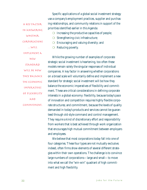A key factor in answering whether corporations …will implement a new standard will be how they balance the economic imperatives of flexibility AND commitment.

Specific applications of a global social investment strategy use a company's employment practices, supplier and purchasing relationships, and community relations in support of the priorities identified earlier in this Agenda:

 $\bigcirc$  Increasing the productive capacities of people;

❍ Strengthening civic infrastructure;

 $\bigcirc$  Encouraging and valuing diversity; and

❍ Reducing poverty.

While the growing number of examples of corporate strategic social investment is heartening, too often these models remain solely the singular responses of individual companies. A key factor in answering whether corporations on a broad scale will voluntarily define and implement a new standard for strategic social investment will be how they balance the economic imperatives of flexibility and commitment. These are critical considerations in defining corporate interests in a global economy: flexibility, because today's pace of innovation and competition requires highly flexible corporate structures; and commitment, because the levels of quality demanded in today's products and services cannot be guaranteed through old-style command and control management. They require a kind of discretionary effort and responsibility from workers that is best achieved through work organization that encourages high mutual commitment between employers and employees.

We believe that most corporations today fall into one of four categories. These four types are not mutually exclusive; indeed, often firms show elements of several different strategies within their own operations. The challenge is to convince large numbers of corporations—large and small—to move into what we call the "win-win" quadrant of high commitment and high flexibility.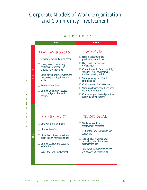### Corporate Models of Work Organization and Community Involvement

#### COMMITMENT

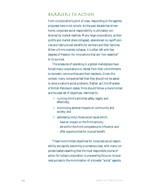### Barriers to Action

From a corporation's point of view, responding to the agenda proposed here is not simple. As the past decade has driven home, corporate social responsibility is ultimately constrained by market realities. Many large corporations, as their profits and market share collapsed, abandoned no-layoff policies and restructured benefits for workers and their families. When a firm's markets collapse, it is often left with few degrees of freedom for innovations that are "non-essential" to its survival.

The pressures of operating in a global marketplace have forced many corporations to retreat from their commitments to domestic communities and their residents. Given this context, many companies feel that they should not be asked to solve a nation's social problems. Rather, as Chris Marsden of British Petroleum states, firms should follow a more limited and focused set of objectives, restricted to:

- ❍ running a firm's activities safely, legally and effectively;
- ❍ minimizing adverse impacts on community and society; and
- $\bigcirc$  addressing (only) those social issues which:
	- have an impact on the firm's activity;
	- are within the firm's competence to influence; and
	- offer opportunities for mutual benefit.

These more limited objectives for corporate social responsibility are rapidly becoming a consensus view, with many corporate leaders asserting that the most responsible course of action for today's corporation is unwavering focus on its business success to the minimization of a broader "social" agenda.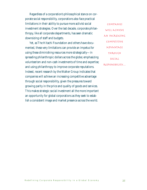Regardless of a corporation's philosophical stance on corporate social responsibility, corporations also face practical limitations in their ability to pursue more activist social investment strategies. Over the last decade, corporate philanthropy, like all corporate departments, has seen dramatic downsizing of staff and budgets.

Yet, as The Hitachi Foundation and others have documented, these very limitations can provide an impetus for using these diminishing resources more strategically—in spreading philanthropic dollars across the globe; emphasizing volunteerism and non-cash investments of time and expertise; and using philanthropy to improve corporate reputations. Indeed, recent research by the Walker Group indicates that companies will achieve an increasing competitive advantage through social responsibility, given the pressures toward growing parity in the price and quality of goods and services. This makes strategic social investment all the more important an opportunity for global corporations as they seek to establish a consistent image and market presence across the world.

Companies will achieve an increasing competitive advantage through social responsibility…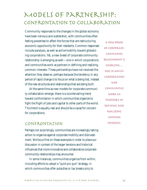# Models of Partnership: Confrontation to Collaboration

Community responses to the changes in the global economy have been nervous and scattershot, with communities often feeling powerless to affect the forces that are restructuring economic opportunity for their residents. Common responses include paralysis, as well as active hostility toward globalizing corporations. Yet, a new breed of corporate-community relationship is emerging as well—one in which corporations and communities work as partners in defining and realizing common interests. These partnerships have not received the attention they deserve, perhaps because the tendency in any period of rapid change is to focus on what is being lost, instead of the new structures and relationships that are being built.

At the same time as new models for corporate-community collaboration emerge, there is a countervailing trend toward confrontation in which communities organize to fight the flight of jobs and capital to other parts of the world. This trend is equally real and should be a cause for concern for corporations.

#### Confrontation

Perhaps not surprisingly, communities are increasingly taking action to organize against corporate mobility and disinvestment. We focus first on these examples in order to place our discussion in context of the larger tensions and historical influences that more innovative and collaborative corporatecommunity relationships may encounter.

In some instances, communities organize from within, including efforts to adopt a "quid pro quo" strategy, in which communities offer subsidies or tax breaks only to

a new breed of corporatecommunity relationship is emerging… one in which corporations AND communities work as partners in defining and realizing common interests.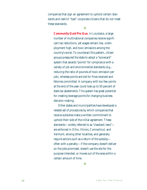companies that sign an agreement to uphold certain standards and restrict "bad" corporate citizens that do not meet these standards.

**マ** 

**Community Quid Pro Quo.** In Louisiana, a large number of multinational companies receive significant tax reductions, yet wages remain low, unemployment high, and toxic emissions among the country's worst. To counteract this pattern, citizen groups pressured the state to adopt a "scorecard" system that awards "points" for compliance with a variety of job and environmental standards (e.g., reducing the ratio of pounds-of-toxic-emission per job), whereas points are lost for fines received and felonies committed. A company with too few points at the end of the year could lose up to 50 percent of state tax abatements. This system has great potential for creating leverage points for changing business decision-making.

Other states and municipalities have developed a related set of procedures by which companies that receive subsidies make a written commitment to uphold their side of the initial agreement. These standards—widely referred to as "clawback laws" are enforced in Ohio, Illinois, Connecticut, and Vermont, among other localities, and generally require actions such as a return of the subsidy often with a penalty—if the company doesn't deliver on the jobs promised, doesn't use the site for the purpose intended, or moves out of the area within a certain amount of time.

▲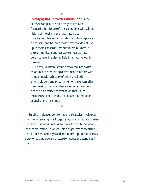**Identifying Bad Corporate Citizens.** In a number of cases, companies with a range of taxpayerfinanced subsidies are often corporations with a long history of illegal and anti-labor activities. Establishing clear minimum standards for corporate citizenship, and banning those firms that do not live up to these standards from subsidized business in the community, is another way some areas have begun to level the playing field in attracting jobs to the area.

Palmer, Massachusetts is a town that has passed an ordinance prohibiting government contracts with companies with a history of bribery, collusion among bidders, and price fixing (for three years after the crime). Other towns have adopted similar policies and have started to expand on that list, to include restraint of trade, fraud, labor intimidation, or environmental crimes.

▲

In other instances, confrontational strategies involve communities organizing to act together across community or even national boundaries, such as the move toward bi-national labor coordination, in which union organizers concentrate on raising work and pay standards in developing countries as a way of putting upward pressure on wages and standards in the U.S.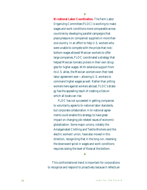**Bi-national Labor Coordination.** The Farm Labor Organizing Committee (FLOC) is working to make wages and work conditions more comparable across countries by developing parallel campaigns that place pressure on companies' suppliers in more than one country. In an effort to help U.S. workers who were unable to compete with the prices that rockbottom wages allowed Mexican workers to offer large companies, FLOC coordinated a strategy that helped Mexican tomato pickers in their own struggles for higher wages. With extensive support from its U.S. allies, the Mexican workers won their best labor agreement ever—allowing U.S. workers to command higher wages as well. Rather than pitting workers here against workers abroad, FLOC's strategy has the appealing result of creating a tide on which all boats can rise.

**マ** 

FLOC has not succeeded in getting companies to voluntarily agree to bi-national labor standards, but corporate collaboration in bi-national agreements could enable this strategy to have great impact on changing job-related issues of economic globalization. Some major unions, notably the Amalgamated Clothing and Textile Workers and the electric workers' union, have also moved in this direction, recognizing that in the long run, reversing the downward spiral in wages and work conditions requires raising the level of those at the bottom.

This confrontational trend is important for corporations to recognize and respond to proactively because it reflects an

▲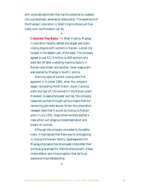anti-corporate sentiment that has the potential to coalesce into a problematic adversarial relationship. The experience of the Maytag Corporation in West Virginia shows just how costly such confrontation can be.

**マ** 

**Corporate "Pay-Backs."** In West Virginia, Maytag Corporation recently settled the largest ever plantclosing dispute with workers in Ranson, a small city located in the eastern part of the state. The company agreed to pay \$11.5 million to 800 workers who were laid off after a vending-machine factory in Ranson was closed, and another, lower-wage plant was opened by Maytag in South Carolina.

Warning signs of a plant closing were first apparent in October 1990, when the company began remodeling the Williston, South Carolina plant and laid off 150 workers in the Ranson plant. However, to ease employees' worries, the company reassured workers through various means that the remaining jobs were secure. When the corporation released news that it would be closing its Ranson plant in July 1991, disgruntled workers started a class action suit alleging misrepresentation and breach of contract.

Although the company conceded to the settlement, it maintained that there was no wrongdoing in closing the Ranson factory. Spokespersons for Maytag emphasize that employees interpreted their words as guarantees for lifetime employment, a false interpretation and misconception that led to an expensive misunderstanding.

▲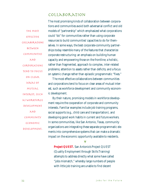#### Collaboration

The most effective collaborations between communities AND corporations tend to focus on clear areas of mutual interest, such as workforce development AND community economic development.

The most promising kinds of collaboration between corporations and communities avoid both adversarial conflict and old models of "partnership" which emphasized what corporations could "do" for communities rather than using corporate resources to build communities' capacities to do for themselves. In some ways, the best corporate-community partnerships today resemble many of the features that characterize corporate restructuring: an emphasis on building human capacity and empowering those on the frontline; a holistic, rather than fragmented, approach to complex, inter-related problems; attention to assets rather than deficits; and a focus on *systemic* change rather than episodic programmatic "fixes."

The most effective collaborations between communities and corporations tend to focus on clear areas of mutual interest, such as workforce development and community economic development.

By their nature, promising models in workforce development require the cooperation of corporate and community interests. Familiar examples include job training programs, social supports (e.g., child care and transportation), and developing good work habits in current and future workers. In some communities, like San Antonio, Texas, community organizations are integrating these separate programmatic elements into comprehensive systems that can make a dramatic impact on the economic opportunity available to residents.

**Project QUEST.** San Antonio's Project QUEST (Quality Employment through Skills Training) attempts to address directly what some have called "jobs mismatch," whereby large numbers of people with little job training are unable to find decent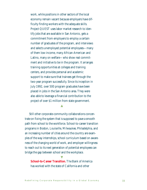work, while positions in other sectors of the local economy remain vacant because employers have difficulty finding workers with the adequate skills. Project QUEST uses labor market research to identify jobs that are available in San Antonio, gets a commitment from employers to employ a certain number of graduates of the program, and interviews and selects unemployed potential employees—many of them low-income, many African-American and Latino, many on welfare—who show real commitment and initiative to be in the program. It arranges training opportunities at colleges and training centers, and provides personal and academic support to make sure that trainees get through the two-year program successfully. Since its inception in July 1992, over 500 program graduates have been placed in jobs in the San Antonio area. They were also able to leverage a financial contribution to the project of over \$1 million from state government.

▲

Still other corporate-community collaborations concentrate on fixing the system that is supposed to pave a smooth path from school to the workforce. School-to-career transition programs in Boston, Louisville, Milwaukee, Philadelphia, and an increasing number of cities around the country are examples of the way internships, school curriculum based on awareness of the changing world of work, and employer willingness to reach out to its next generation of potential employees can bridge the gap between school and the workplace.

**School-to-Career Transition.** The Bank of America has worked with the state of California and other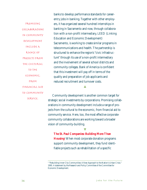Promising collaborations in community development include a range of projects from the cultural to the economic, from financial aid to community service.

banks to develop performance standards for careerentry jobs in banking. Together with other employers, it has organized several hundred internships in banking in Sacramento and now, through collaboration with a non-profit intermediary, LEED (Linking Education and Economic Development) Sacramento, is working to create similar programs in telecommunications and health. The partnership is structured to enhance the region's "civic infrastructure" through its use of a non-profit intermediary and the involvement of several school districts and community colleges. Bank of America is confident that this investment will pay off in terms of the quality and preparation of job applicants and reduced recruitment and turnover costs.

Community development is another common target for strategic social investments by corporations. Promising collaborations in community development include a range of projects from the cultural to the economic, from financial aid to community service. Here, too, the most effective corporatecommunity collaborations are working toward a broader vision of community-building.

▲

**The St. Paul Companies: Building More Than Housing**<sup>3</sup> When most corporate donation programs support community development, they fund identifiable projects such as rehabilitation of a specific

<sup>&</sup>lt;sup>3</sup> "Rebuilding Inner-City Communities: A New Approach to the Nation's Urban Crisis." 1995. A statement by the Research and Policy Committee of the Committee for Economic Development.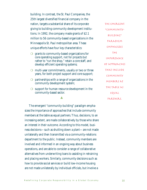building. In contrast, the St. Paul Companies, the 25th largest diversified financial company in the nation, targets a substantial share of its corporate giving to building community development institutions. In 1992, the company made grants of \$2.1 million to 56 community-based organizations in the Minneapolis-St. Paul metropolitan area. These unique efforts have four key characteristics:

- ❍ grants to community-based organizations for core operating support, not for projects but rather to "run the shop," retain a core staff, and develop efficient operating systems;
- ❍ multi-year commitments, usually or two or three years, for both project support and core support;
- ❍ partnerships with a range of organizations in the community development system;
- $\bigcirc$  support for human resource development in the community-based sector.

▲

The emergent "community-building" paradigm emphasizes the importance of approaches that include community members at the table as equal partners. Thus, decisions, to an increasing extent, are made collaboratively by those who share an interest in their outcome. According to this model, business decisions—such as shutting down a plant—are not made unilaterally and then transmitted via a community-relations department to the public. Instead, community members are involved and informed in an ongoing way about business operations, and are able to consider a range of collaborative alternatives from underwriting loans to assisting in retraining and placing workers. Similarly, community decisions such as how to provide social services or build low-income housing are not made unilaterally by individual officials, but involve a

The emergent "communitybuilding" PARADIGM emphasizes  $THf$ importance of approaches that include community members at the table as EQUAL partners.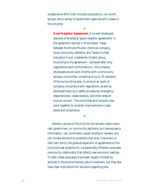collaborative effort that includes corporations, non-profit groups, and a variety of government agencies with a stake in the outcome.

**マ** 

**Good Neighbor Agreements.** One well-developed example of emerging "good neighbor agreements" is the agreement reached in Manchester, Texas, between the Rhone Poulenc chemical company, local community residents, and Texans United Education Fund, a statewide citizens' group. According to the agreement—achieved after long negotiations and confrontations—the company employees would work directly with a community advisory committee, consisting of up to 25 residents of the surrounding area, to conduct an audit of company compliance with regulations, as well as employee training in safety procedures, emergency response plans, waste analysis, and other areas of mutual concern. The committee and company also work together to consider improvements in standards and compliance.

▲

Advisory groups of this kind do not actually make corporate, government, or community decisions, but have access to information, can commission expert studies or reviews, and can initiate solutions to problems that arise. Important on their own terms, the gradual expansion of agreements of this kind hold real potential for a substantially different corporatecommunity relationship that reflects new economic realities. To date, these campaigns have been largely initiated by activists in the environmental justice movement, but they also have clear implications for decisions regarding jobs.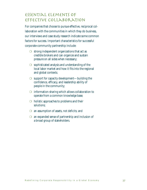### Essential Elements of Effective Collaboration

For companies that choose to pursue effective, reciprocal collaboration with the communities in which they do business, our interviews and case study research indicate some common factors for success. Important characteristics for successful corporate-community partnership include:

- $\bigcirc$  strong independent organizations that act as credible brokers and can organize and sustain pressure on all sides when necessary;
- $\bigcirc$  sophisticated analysis and understanding of the local labor market and how it fits into the regional and global contexts;
- $\bigcirc$  support for capacity development—building the confidence, efficacy, and leadership ability of people in the community;
- ❍ information-sharing which allows collaboration to operate from a common knowledge base;
- $\bigcirc$  holistic approaches to problems and their solutions;
- ❍ an assumption of assets, not deficits; and
- $\bigcirc$  an expanded sense of partnership and inclusion of a broad group of stakeholders.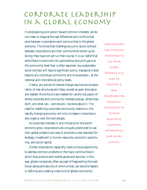# Corporate Leadership IN A GLOBAL ECONOMY

In emphasizing joint action toward common interests, we do not mean to disguise the real differences and conflicts that exist between corporations and communities in the global economy. The forces that challenge any prior social contract between corporations and their communities remain quite strong; they have not yet run their course. It is our belief that while there is more room for partnerships and joint gains at the community level than is often assumed, any sustainable social contract will require significant policy changes at a level beyond any individual community and its employers—at the national and international policy levels.

Clearly, any period of intense change requires active exploration of new structures and ideas, as well as open discussion and debate. More forums are needed for candid discussion of where corporate and community interests overlap, where they don't, and what can—and should—be done about it. The need for redefining corporate-community relations in the rapidly changing economy will only increase in importance and urgency over the next decade.

As corporate interests in and influence on the world economy grow, corporations are uniquely positioned to use their global presence as a way to promote a new standard for strategic investment in human resources, economic opportunity, and social capital.

Global corporations, especially, have a unique opportunity to address common problems in the many communities in which they produce and market goods and services. In this way, global companies, often accused of fragmenting the traditional values and security of communities, can become leaders in defining and creating a new kind of global community.

Corporations are uniquely positioned to use their global presence as a way to promote a new standard for strategic investment in human resources, economic opportunity, and social capital.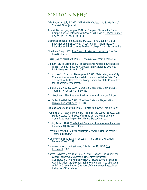### Bibliography

- Ady, Robert M. July 6, 1992. "Why BMW Cruised Into Spartanburg," The Wall Street Journal.
- Avishai, Bernard. July/August 1991. "A European Platform for Global Competition: An Interview with VW's Carl Hahn." Harvard Business Review, vol. 69, no. 4: 102-113.
- Berryman, Sue and Thomas R. Bailey. 1992. "The Double Helix of Education and the Economy." New York, NY: The Institute on Education and the Economy, Teachers College, Columbia University.
- Bluestone, Barry. 1982. The Deindustrialization of America. New York: BasicBooks, Inc.

Castro, Janice. March 29, 1993. "Disposable Workers." Time: 43-7.

- Colburn, Bruce. Spring 1994. "'Sustainable Milwaukee' Launches Bold Metro Planning Initiative: New Coalition Plans for 50,000 Jobs." FIRR News, vol. 6, no. 1: 10-11.
- Committee for Economic Development. 1995. "Rebuilding Inner-City Communities: A New Approach to the Nation's Urban Crisis." A statement by the Research and Policy Committee of the Committee for Economic Development.
- Corditz, Dan. May 29, 1990. "Corporate Citizenship, No More Soft Touches." Financial World: 30-36.

Drucker, Peter. 1989. The New Realities. New York: Harper & Row.

- —. September-October 1992. "The New Society of Organizations." Harvard Business Review: 95-104.
- Erdman, Andrew. March 8, 1993. "The Unemployed." Fortune: 40-9.
- "Families on a Treadmill: Work and Income in the 1980s." 1992. A Staff Study Prepared for the Use of Members of the Joint Economic Committee. Washington, DC: United States Congress.
- Gilpin, Robert. 1987. <u>The Political Economy of International Relations</u>. Princeton, NJ: University Press.
- Harrison, Bennett. July 1994. "Strategic Networking for the People." Technology Review.
- Huntington, Samuel P. Summer 1993. "The Clash of Civilizations?" Foreign Affairs: 22-49.
- "Japanese Industry: Losing its Way." September 18, 1993. The Economist: 78-9.
- Kanter, Rosabeth Moss. May 1994. "Greater Boston's Challenge in the Global Economy: Strengthening the Infrastructure for Collaboration." Harvard University, Graduate School of Business Administration, the George F. Baker Foundation, in collaboration with The Greater Boston Chamber of Commerce and Associated Industries of Massachusetts.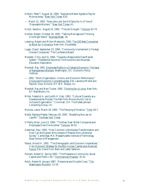- Kilborn, Peter T. August 16, 1995. "Appliance Maker Agrees to Pay for Moving Away." New York Times: A20.
- —. March 15, 1993. "New Jobs Lack the Old Security In a Time of 'Disposable Workers."' New York Times: A1.
- Kirsch, Sandra L. August 24, 1992. "The Job Drought." Fortune: 62-74.
- Kuttner, Robert. October 18, 1993. "Talking Marriage and Thinking One-Night Stand." Business Week: 16.
- Levering, Robert and Milton Moskovitz. 1993. The 100 Best Companies to Work for In America. New York: Doubleday.
- Logan, David. September 23, 1994. "Community Involvement in Foreign Owned Companies." The Conference Board.
- Marsden, Chris. April 6, 1994. "Towards a Responsible Free Market System." Presidential lecture to The Economics and Business Education Association.
- Marshall, Ray. 1991. Employee Rights in a Changing Economy: The Issue of Replacement Workers. Washington, DC: Economic Policy Institute.
- —. 1992. "Work Organization, Unions, and Economic Performance." Unions and Economic Competitiveness, Eds. Lawrence Mishel and Paula B. Voos. Armonk, NY: W.E. Sharpe, Inc.
- Marshall, Ray and Marc Tucker. 1992. Thinking for a Living. New York, NY: BasicBooks, Inc.
- Miller, Frederick A. and Judith H. Katz. 1993. "Cultural Diversity as a Developmental Process: The Path from Monocultural Club to Inclusive Organization." Cincinnati, OH: The Kaleel Jamison Consulting Group, Inc.
- Morrow, Lance. March 29, 1993. "The Temping of America." Time: 40-7.
- Noble, Barbara Presley. February 28, 1993. "Straddling the Law on Layoffs." The New York Times.
- O'Reilly, Brian. June 13, 1994. "The New Deal: What Companies and Employees Owe One Another." Fortune: 44-52.
- Osterman, Paul. 1993. "How Common is Workplace Transformation and How Can We Explain Who Adopts It? Results from a National Survey." Cambridge, MA: Massachusetts Institute of Technology, Sloan School of Management.
- Packer, Arnold H. 1991. "The Demographic and Economic Imperatives," in An Economic Strategy for the 90s: Human Capital and America's Future, Eds. David Horn Beck and Lester Salamon.
- Putnam, Robert D. Spring 1993. "The Prosperous Community, Social Capital and Public Life." The American Prospect: 35-42.
- Reich, Robert B. January 1987. "Enterprise and Double Cross." The Washington Monthly: 13-19.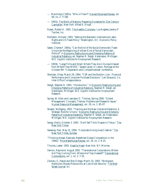- —. March/April 1991a. "Who is Them?" Harvard Business Review, vol. 69, no. 2: 77-88.
- —. 1991b. The Work of Nations: Preparing Ourselves for 21st Century Capitalism. New York: Alfred A. Knopf.
- Rosen, Robert H. 1991. The Healthy Company. Los Angeles: Jeremy P. Tarcher, Inc.
- Rothstein, Richard. 1993. "Setting the Standard: International Labor Rights and US Trade Policy." Washington, DC: Economic Policy Institute.
- Sabel, Charles F. 1993a. "Can the End of the Social Democratic Trade Unions be the Beginning of a New Kind of Social Democratic Politics?" in Economic Restructuring and Emerging Patterns of Industrial Relations, ed. Stephen R. Sleigh. Kalamazoo, Michigan: W.E. Upjohn Institute for Employment Research.
- —. 1993b. "Large Firms and Small: Where They Are in Europe Viewed from Where They WERE," Speech given in Lisbon, Portugal at the October 8th "Cooperation and Competitiveness" conference.
- Sheridan, Elissa. March 29, 1994. "CSR and the Bottom Line—Financial Performance and Consumer Purchase Decisions." Levi Strauss & Co. Inter-Office Correspondence.
- Sleigh, Stephen R. 1993. "Introduction," in Economic Restructuring and Emerging Patterns of Industrial Relations, Stephen R. Sleigh, ed. Kalamazoo, Michigan: W.E. Upjohn Institute for Employment Research.
- Spivey, W. Allen and Lawrason D. Thomas. Spring 1990. "Global Management: Concepts, Themes, Problems and Research Issues." Human Resource Management, vol. 29, no. 1: 85-97.
- Streeck, Wolfgang. 1993. "Training and the New Industrial Relations: A Strategic Role for Unions." Economic Restructuring and Emerging Patterns of Industrial Relations, Stephen R. Sleigh, ed. Kalamazoo, Michigan: W.E. Upjohn Institute for Employment Research.
- Swasy, Alecia. October 3, 1993. "Don't Sell Thick Diapers in Tokyo." The New York Times.
- Sweeney, Paul. May 15, 1994. "Corporate Giving Goes Creative." The New York Times, Sunday.
- "Thinking Ahead: Radically Redefined Global Competition in the 1990s." Price Waterhouse Review, vol. 34, no. 1: 6-25.
- Thurow, Lester. 1992. Head to Head. New York, NY: Morrow.
- Vernon, Raymond. August 1992. "Transnational Corporations: Where Are They Coming From, Where Are They Headed?" Transnational Corporations, vol. 1, no. 2: 7-35.
- Zachary, G. Pascal and Bob Ortega. March 10, 1993. "Workplace Revolution Boosts Productivity at Cost of Job Security." The Wall Street Journal: A1.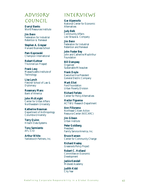### Advisory Council

**Darryl Banks** World Resources Institute

**Jim Benn** Federation for Industrial Retention & Renewal

**Stephen A. Greyser** Harvard Business School

**Pam Koprowski** Champion International

**Robert Kuttner** *The American Prospect*

**Frank Levy** Massachusetts Institute of **Technology** 

**Lisa Lynch** Fletcher School of Law & **Diplomacy** 

**Rosemary Mans** Bank of America

**John McKnight** Center for Urban Affairs Northwestern University

**Katherine Newman**  Department of Anthropology Columbia University

**Terry Quinn** Hitachi Data Systems

**Tony Sarmiento** AFL-CIO

**Arthur White** Yankelovich Partners, Inc.

### Interviews

**Gar Alperovitz** National Center for Economic **Alternatives** 

**Judy Belk** Community Affairs Levi Strauss & Company

**Jim Benn** Federation for Industrial Retention and Renewal

**John Foster Bey** John and Catherine MacArthur **Foundation** 

**Bill Dempsey Organizer** Sustainable Milwaukee

**Frank Doyle** Executive Vice President General Electric Company

**Mark Eliot** Ford Foundation Urban Poverty Division

**Richard Ferlato** Center for Policy Alternatives

**Hector Figueroa** ACTWU Research Department

**Ann Filloramo** Northeast Citizen Action Resource Center (NECARC)

**Jim Gibson** Urban Institute

**Peter Goldberg** President Family Service America, Inc.

**Bruce Hanson** Center for Community Change

**Richard Healey** Grassroots Policy Project

**Robert C. Holland** Committee on Economic Development

**Jackie Kendall** Midwest Academy

**Judith Kidd** City Year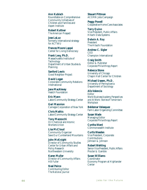**Ann Kubisch** Roundtable on Comprehensive Community Initiatives of Children and Families and Aspen Institute

**Robert Kuttner** *The American Prospect*

**Jose LaLuz** formerly international strategy for ACTWU

**Frances Moore Lappé** Center for Living Democracy

**Frank Levy, Ph.D.** Massachusetts Institute of **Technology** Department of Urban Studies & Planning

**Sanford Lewis** Good Neighbor Project

**David Logan** Corporate-Community Relations International

**Jane MacAlevay** Veatch Foundation

**Eric Mann** Labor/Community Strategy Center

**Geri Mannion** Carnegie Corporation of New York

**Chris Mathis** Labor/Community Strategy Center

**Tony Mazzocchi** Oil Chemical and Atomic Workers Union

**Lisa McCloud** Community Organizer Save Our Cumberland Mountains

**John McKnight** Director of Community Studies Center for Urban Affairs and Policy Research Northwestern University

**Karen Muller** Director of Community Affairs HB Fuller

**Neal Peirce** Contributing Editor *The National Journal* **Steuart Pittman** ACORN Jobs Campaign

**Peggy Powell** Cooperative Home Care Associates

**Terry Quinn** Vice President, Public Affairs Hitachi Data Systems

**Delwin A. Roy President** The Hitachi Foundation

**Andrew C. Sigler CEO** Champion International

**Craig Smith** Editor & Publisher *Corporate Philanthropy Report*

**Rebecca Stone** University of Chicago Chapin Hall Center for Children

**Michael Useem, Ph.D.** University of Pennsylvania Department of Sociology

**Alis Valencia** Editor *World Business Academy Perspectives and At Work: Stories of Tomorrow's Workplace*

**Beldemar Velasquez** Farm Labor Organizing Committee

**Susan Wade** Managing Editor *Corporate Philanthropy Report*

**Cyntha Ward** Commonwealth Institute

**Curtis Weeden** Vice President, Corporate **Contributions** Johnson & Johnson

**Robert Wehling** Senior Vice President, Public Affairs Procter & Gamble

**Susan Williams** Coordinator Economy Program at Highlander **Center**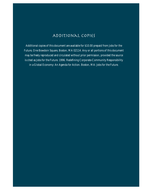### Additional Copies

Additional copies of this document are available for \$10.00 prepaid from Jobs for the Future, One Bowdoin Square, Boston, MA 02114. Any or all portions of this document may be freely reproduced and circulated without prior permission, provided the source is cited as Jobs for the Future. 1996. Redefining Corporate-Community Responsibility in a Global Economy: An Agenda for Action. Boston, MA: Jobs for the Future.